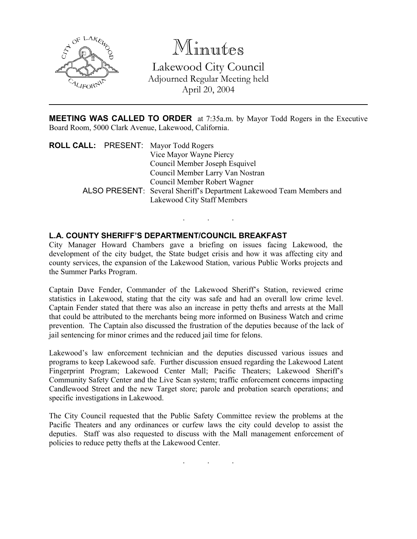

## Minutes

Lakewood City Council Adjourned Regular Meeting held April 20, 2004

**MEETING WAS CALLED TO ORDER** at 7:35a.m. by Mayor Todd Rogers in the Executive Board Room, 5000 Clark Avenue, Lakewood, California.

| <b>ROLL CALL:</b> PRESENT: Mayor Todd Rogers |                                                                      |
|----------------------------------------------|----------------------------------------------------------------------|
|                                              | Vice Mayor Wayne Piercy                                              |
|                                              | Council Member Joseph Esquivel                                       |
|                                              | Council Member Larry Van Nostran                                     |
|                                              | Council Member Robert Wagner                                         |
|                                              | ALSO PRESENT: Several Sheriff's Department Lakewood Team Members and |
|                                              | Lakewood City Staff Members                                          |

. . .

## L.A. COUNTY SHERIFF'S DEPARTMENT/COUNCIL BREAKFAST

City Manager Howard Chambers gave a briefing on issues facing Lakewood, the development of the city budget, the State budget crisis and how it was affecting city and county services, the expansion of the Lakewood Station, various Public Works projects and the Summer Parks Program.

Captain Dave Fender, Commander of the Lakewood Sheriff's Station, reviewed crime statistics in Lakewood, stating that the city was safe and had an overall low crime level. Captain Fender stated that there was also an increase in petty thefts and arrests at the Mall that could be attributed to the merchants being more informed on Business Watch and crime prevention. The Captain also discussed the frustration of the deputies because of the lack of jail sentencing for minor crimes and the reduced jail time for felons.

Lakewood's law enforcement technician and the deputies discussed various issues and programs to keep Lakewood safe. Further discussion ensued regarding the Lakewood Latent Fingerprint Program; Lakewood Center Mall; Pacific Theaters; Lakewood Sheriff's Community Safety Center and the Live Scan system; traffic enforcement concerns impacting Candlewood Street and the new Target store; parole and probation search operations; and specific investigations in Lakewood.

The City Council requested that the Public Safety Committee review the problems at the Pacific Theaters and any ordinances or curfew laws the city could develop to assist the deputies. Staff was also requested to discuss with the Mall management enforcement of policies to reduce petty thefts at the Lakewood Center.

. . .